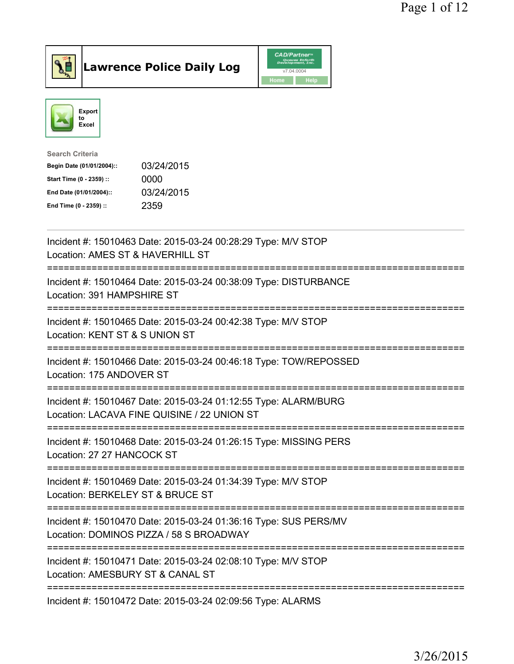



| <b>Search Criteria</b>    |            |
|---------------------------|------------|
| Begin Date (01/01/2004):: | 03/24/2015 |
| Start Time (0 - 2359) ::  | 0000       |
| End Date (01/01/2004)::   | 03/24/2015 |
| End Time (0 - 2359) ::    | 2359       |
|                           |            |

| Incident #: 15010463 Date: 2015-03-24 00:28:29 Type: M/V STOP<br>Location: AMES ST & HAVERHILL ST                                                |
|--------------------------------------------------------------------------------------------------------------------------------------------------|
| Incident #: 15010464 Date: 2015-03-24 00:38:09 Type: DISTURBANCE<br>Location: 391 HAMPSHIRE ST                                                   |
| Incident #: 15010465 Date: 2015-03-24 00:42:38 Type: M/V STOP<br>Location: KENT ST & S UNION ST                                                  |
| Incident #: 15010466 Date: 2015-03-24 00:46:18 Type: TOW/REPOSSED<br>Location: 175 ANDOVER ST                                                    |
| Incident #: 15010467 Date: 2015-03-24 01:12:55 Type: ALARM/BURG<br>Location: LACAVA FINE QUISINE / 22 UNION ST<br>============================   |
| Incident #: 15010468 Date: 2015-03-24 01:26:15 Type: MISSING PERS<br>Location: 27 27 HANCOCK ST<br>---------------------                         |
| Incident #: 15010469 Date: 2015-03-24 01:34:39 Type: M/V STOP<br>Location: BERKELEY ST & BRUCE ST<br>---------------------------                 |
| Incident #: 15010470 Date: 2015-03-24 01:36:16 Type: SUS PERS/MV<br>Location: DOMINOS PIZZA / 58 S BROADWAY<br>================================= |
| Incident #: 15010471 Date: 2015-03-24 02:08:10 Type: M/V STOP<br>Location: AMESBURY ST & CANAL ST                                                |
| Incident #: 15010472 Date: 2015-03-24 02:09:56 Type: ALARMS                                                                                      |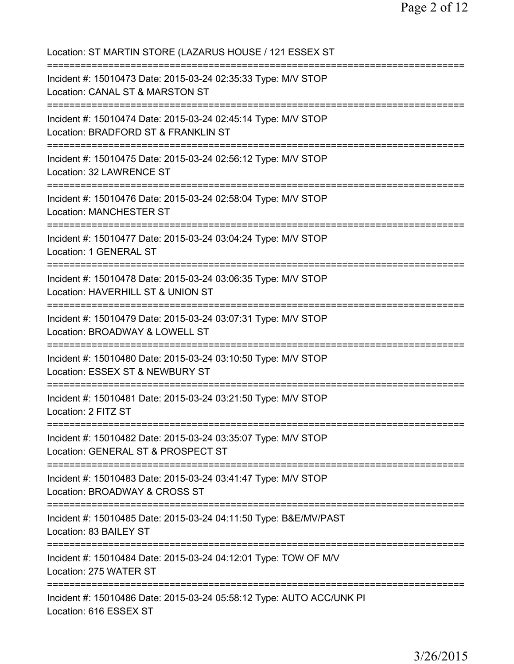| Location: ST MARTIN STORE (LAZARUS HOUSE / 121 ESSEX ST                                                                                        |
|------------------------------------------------------------------------------------------------------------------------------------------------|
| Incident #: 15010473 Date: 2015-03-24 02:35:33 Type: M/V STOP<br>Location: CANAL ST & MARSTON ST<br>====================================       |
| Incident #: 15010474 Date: 2015-03-24 02:45:14 Type: M/V STOP<br>Location: BRADFORD ST & FRANKLIN ST<br>====================================== |
| Incident #: 15010475 Date: 2015-03-24 02:56:12 Type: M/V STOP<br>Location: 32 LAWRENCE ST<br>;==============================                   |
| Incident #: 15010476 Date: 2015-03-24 02:58:04 Type: M/V STOP<br><b>Location: MANCHESTER ST</b>                                                |
| Incident #: 15010477 Date: 2015-03-24 03:04:24 Type: M/V STOP<br>Location: 1 GENERAL ST                                                        |
| Incident #: 15010478 Date: 2015-03-24 03:06:35 Type: M/V STOP<br>Location: HAVERHILL ST & UNION ST                                             |
| Incident #: 15010479 Date: 2015-03-24 03:07:31 Type: M/V STOP<br>Location: BROADWAY & LOWELL ST<br>=========================                   |
| Incident #: 15010480 Date: 2015-03-24 03:10:50 Type: M/V STOP<br>Location: ESSEX ST & NEWBURY ST                                               |
| Incident #: 15010481 Date: 2015-03-24 03:21:50 Type: M/V STOP<br>Location: 2 FITZ ST                                                           |
| Incident #: 15010482 Date: 2015-03-24 03:35:07 Type: M/V STOP<br>Location: GENERAL ST & PROSPECT ST                                            |
| Incident #: 15010483 Date: 2015-03-24 03:41:47 Type: M/V STOP<br>Location: BROADWAY & CROSS ST                                                 |
| Incident #: 15010485 Date: 2015-03-24 04:11:50 Type: B&E/MV/PAST<br>Location: 83 BAILEY ST                                                     |
| Incident #: 15010484 Date: 2015-03-24 04:12:01 Type: TOW OF M/V<br>Location: 275 WATER ST                                                      |
| Incident #: 15010486 Date: 2015-03-24 05:58:12 Type: AUTO ACC/UNK PI<br>Location: 616 ESSEX ST                                                 |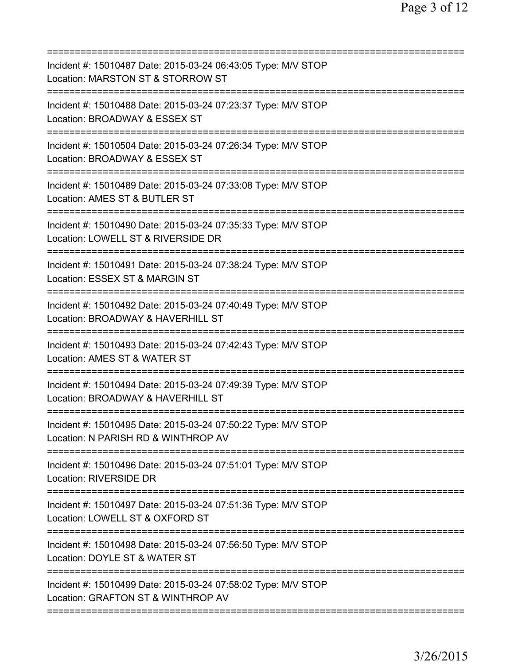| Incident #: 15010487 Date: 2015-03-24 06:43:05 Type: M/V STOP<br>Location: MARSTON ST & STORROW ST                                  |
|-------------------------------------------------------------------------------------------------------------------------------------|
| Incident #: 15010488 Date: 2015-03-24 07:23:37 Type: M/V STOP<br>Location: BROADWAY & ESSEX ST                                      |
| Incident #: 15010504 Date: 2015-03-24 07:26:34 Type: M/V STOP<br>Location: BROADWAY & ESSEX ST                                      |
| Incident #: 15010489 Date: 2015-03-24 07:33:08 Type: M/V STOP<br>Location: AMES ST & BUTLER ST                                      |
| Incident #: 15010490 Date: 2015-03-24 07:35:33 Type: M/V STOP<br>Location: LOWELL ST & RIVERSIDE DR                                 |
| Incident #: 15010491 Date: 2015-03-24 07:38:24 Type: M/V STOP<br>Location: ESSEX ST & MARGIN ST                                     |
| Incident #: 15010492 Date: 2015-03-24 07:40:49 Type: M/V STOP<br>Location: BROADWAY & HAVERHILL ST                                  |
| Incident #: 15010493 Date: 2015-03-24 07:42:43 Type: M/V STOP<br>Location: AMES ST & WATER ST                                       |
| Incident #: 15010494 Date: 2015-03-24 07:49:39 Type: M/V STOP<br>Location: BROADWAY & HAVERHILL ST                                  |
| Incident #: 15010495 Date: 2015-03-24 07:50:22 Type: M/V STOP<br>Location: N PARISH RD & WINTHROP AV                                |
| Incident #: 15010496 Date: 2015-03-24 07:51:01 Type: M/V STOP<br><b>Location: RIVERSIDE DR</b>                                      |
| Incident #: 15010497 Date: 2015-03-24 07:51:36 Type: M/V STOP<br>Location: LOWELL ST & OXFORD ST                                    |
| Incident #: 15010498 Date: 2015-03-24 07:56:50 Type: M/V STOP<br>Location: DOYLE ST & WATER ST                                      |
| :===========================<br>Incident #: 15010499 Date: 2015-03-24 07:58:02 Type: M/V STOP<br>Location: GRAFTON ST & WINTHROP AV |
|                                                                                                                                     |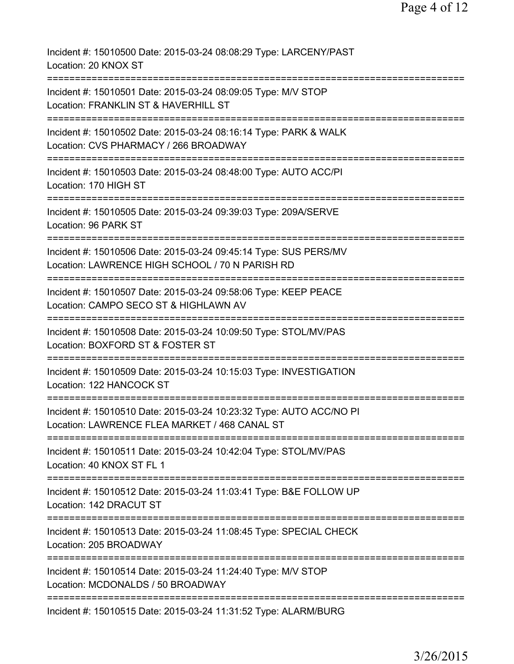| Incident #: 15010500 Date: 2015-03-24 08:08:29 Type: LARCENY/PAST<br>Location: 20 KNOX ST                                                 |
|-------------------------------------------------------------------------------------------------------------------------------------------|
| Incident #: 15010501 Date: 2015-03-24 08:09:05 Type: M/V STOP<br>Location: FRANKLIN ST & HAVERHILL ST                                     |
| Incident #: 15010502 Date: 2015-03-24 08:16:14 Type: PARK & WALK<br>Location: CVS PHARMACY / 266 BROADWAY                                 |
| Incident #: 15010503 Date: 2015-03-24 08:48:00 Type: AUTO ACC/PI<br>Location: 170 HIGH ST                                                 |
| Incident #: 15010505 Date: 2015-03-24 09:39:03 Type: 209A/SERVE<br>Location: 96 PARK ST                                                   |
| ------------------<br>Incident #: 15010506 Date: 2015-03-24 09:45:14 Type: SUS PERS/MV<br>Location: LAWRENCE HIGH SCHOOL / 70 N PARISH RD |
| Incident #: 15010507 Date: 2015-03-24 09:58:06 Type: KEEP PEACE<br>Location: CAMPO SECO ST & HIGHLAWN AV                                  |
| Incident #: 15010508 Date: 2015-03-24 10:09:50 Type: STOL/MV/PAS<br>Location: BOXFORD ST & FOSTER ST                                      |
| Incident #: 15010509 Date: 2015-03-24 10:15:03 Type: INVESTIGATION<br>Location: 122 HANCOCK ST                                            |
| Incident #: 15010510 Date: 2015-03-24 10:23:32 Type: AUTO ACC/NO PI<br>Location: LAWRENCE FLEA MARKET / 468 CANAL ST                      |
| Incident #: 15010511 Date: 2015-03-24 10:42:04 Type: STOL/MV/PAS<br>Location: 40 KNOX ST FL 1                                             |
| Incident #: 15010512 Date: 2015-03-24 11:03:41 Type: B&E FOLLOW UP<br>Location: 142 DRACUT ST                                             |
| Incident #: 15010513 Date: 2015-03-24 11:08:45 Type: SPECIAL CHECK<br>Location: 205 BROADWAY                                              |
| Incident #: 15010514 Date: 2015-03-24 11:24:40 Type: M/V STOP<br>Location: MCDONALDS / 50 BROADWAY                                        |
| Incident #: 15010515 Date: 2015-03-24 11:31:52 Type: ALARM/BURG                                                                           |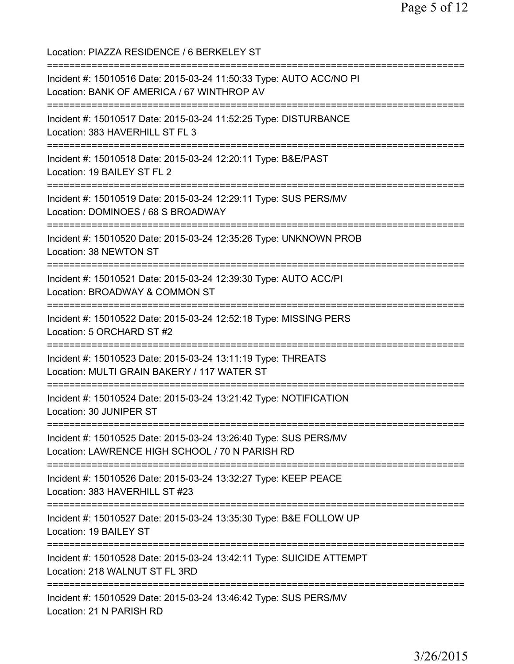Location: PIAZZA RESIDENCE / 6 BERKELEY ST =========================================================================== Incident #: 15010516 Date: 2015-03-24 11:50:33 Type: AUTO ACC/NO PI Location: BANK OF AMERICA / 67 WINTHROP AV =========================================================================== Incident #: 15010517 Date: 2015-03-24 11:52:25 Type: DISTURBANCE Location: 383 HAVERHILL ST FL 3 =========================================================================== Incident #: 15010518 Date: 2015-03-24 12:20:11 Type: B&E/PAST Location: 19 BAILEY ST FL 2 =========================================================================== Incident #: 15010519 Date: 2015-03-24 12:29:11 Type: SUS PERS/MV Location: DOMINOES / 68 S BROADWAY =========================================================================== Incident #: 15010520 Date: 2015-03-24 12:35:26 Type: UNKNOWN PROB Location: 38 NEWTON ST =========================================================================== Incident #: 15010521 Date: 2015-03-24 12:39:30 Type: AUTO ACC/PI Location: BROADWAY & COMMON ST =========================================================================== Incident #: 15010522 Date: 2015-03-24 12:52:18 Type: MISSING PERS Location: 5 ORCHARD ST #2 =========================================================================== Incident #: 15010523 Date: 2015-03-24 13:11:19 Type: THREATS Location: MULTI GRAIN BAKERY / 117 WATER ST =========================================================================== Incident #: 15010524 Date: 2015-03-24 13:21:42 Type: NOTIFICATION Location: 30 JUNIPER ST =========================================================================== Incident #: 15010525 Date: 2015-03-24 13:26:40 Type: SUS PERS/MV Location: LAWRENCE HIGH SCHOOL / 70 N PARISH RD =========================================================================== Incident #: 15010526 Date: 2015-03-24 13:32:27 Type: KEEP PEACE Location: 383 HAVERHILL ST #23 =========================================================================== Incident #: 15010527 Date: 2015-03-24 13:35:30 Type: B&E FOLLOW UP Location: 19 BAILEY ST =========================================================================== Incident #: 15010528 Date: 2015-03-24 13:42:11 Type: SUICIDE ATTEMPT Location: 218 WALNUT ST FL 3RD =========================================================================== Incident #: 15010529 Date: 2015-03-24 13:46:42 Type: SUS PERS/MV Location: 21 N PARISH RD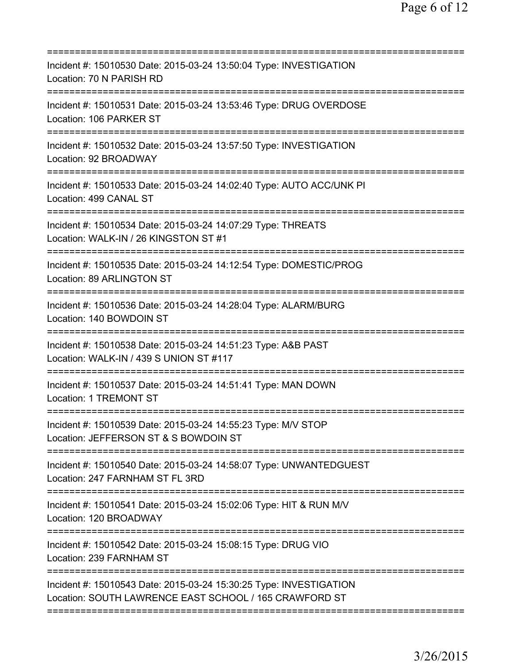| Incident #: 15010530 Date: 2015-03-24 13:50:04 Type: INVESTIGATION<br>Location: 70 N PARISH RD                                    |
|-----------------------------------------------------------------------------------------------------------------------------------|
| Incident #: 15010531 Date: 2015-03-24 13:53:46 Type: DRUG OVERDOSE<br>Location: 106 PARKER ST                                     |
| Incident #: 15010532 Date: 2015-03-24 13:57:50 Type: INVESTIGATION<br>Location: 92 BROADWAY                                       |
| Incident #: 15010533 Date: 2015-03-24 14:02:40 Type: AUTO ACC/UNK PI<br>Location: 499 CANAL ST                                    |
| Incident #: 15010534 Date: 2015-03-24 14:07:29 Type: THREATS<br>Location: WALK-IN / 26 KINGSTON ST #1                             |
| ==============================<br>Incident #: 15010535 Date: 2015-03-24 14:12:54 Type: DOMESTIC/PROG<br>Location: 89 ARLINGTON ST |
| Incident #: 15010536 Date: 2015-03-24 14:28:04 Type: ALARM/BURG<br>Location: 140 BOWDOIN ST<br>======================             |
| Incident #: 15010538 Date: 2015-03-24 14:51:23 Type: A&B PAST<br>Location: WALK-IN / 439 S UNION ST #117                          |
| Incident #: 15010537 Date: 2015-03-24 14:51:41 Type: MAN DOWN<br>Location: 1 TREMONT ST                                           |
| Incident #: 15010539 Date: 2015-03-24 14:55:23 Type: M/V STOP<br>Location: JEFFERSON ST & S BOWDOIN ST                            |
| Incident #: 15010540 Date: 2015-03-24 14:58:07 Type: UNWANTEDGUEST<br>Location: 247 FARNHAM ST FL 3RD                             |
| Incident #: 15010541 Date: 2015-03-24 15:02:06 Type: HIT & RUN M/V<br>Location: 120 BROADWAY                                      |
| Incident #: 15010542 Date: 2015-03-24 15:08:15 Type: DRUG VIO<br>Location: 239 FARNHAM ST                                         |
| Incident #: 15010543 Date: 2015-03-24 15:30:25 Type: INVESTIGATION<br>Location: SOUTH LAWRENCE EAST SCHOOL / 165 CRAWFORD ST      |
|                                                                                                                                   |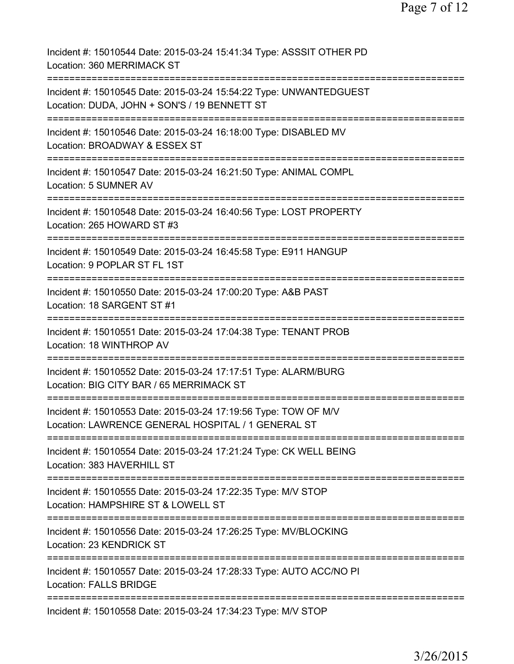| Incident #: 15010544 Date: 2015-03-24 15:41:34 Type: ASSSIT OTHER PD<br>Location: 360 MERRIMACK ST                                   |
|--------------------------------------------------------------------------------------------------------------------------------------|
| Incident #: 15010545 Date: 2015-03-24 15:54:22 Type: UNWANTEDGUEST<br>Location: DUDA, JOHN + SON'S / 19 BENNETT ST                   |
| Incident #: 15010546 Date: 2015-03-24 16:18:00 Type: DISABLED MV<br>Location: BROADWAY & ESSEX ST<br>====================            |
| Incident #: 15010547 Date: 2015-03-24 16:21:50 Type: ANIMAL COMPL<br>Location: 5 SUMNER AV                                           |
| Incident #: 15010548 Date: 2015-03-24 16:40:56 Type: LOST PROPERTY<br>Location: 265 HOWARD ST #3                                     |
| Incident #: 15010549 Date: 2015-03-24 16:45:58 Type: E911 HANGUP<br>Location: 9 POPLAR ST FL 1ST                                     |
| Incident #: 15010550 Date: 2015-03-24 17:00:20 Type: A&B PAST<br>Location: 18 SARGENT ST #1                                          |
| Incident #: 15010551 Date: 2015-03-24 17:04:38 Type: TENANT PROB<br>Location: 18 WINTHROP AV                                         |
| -------------<br>Incident #: 15010552 Date: 2015-03-24 17:17:51 Type: ALARM/BURG<br>Location: BIG CITY BAR / 65 MERRIMACK ST         |
| Incident #: 15010553 Date: 2015-03-24 17:19:56 Type: TOW OF M/V<br>Location: LAWRENCE GENERAL HOSPITAL / 1 GENERAL ST                |
| Incident #: 15010554 Date: 2015-03-24 17:21:24 Type: CK WELL BEING<br>Location: 383 HAVERHILL ST                                     |
| Incident #: 15010555 Date: 2015-03-24 17:22:35 Type: M/V STOP<br>Location: HAMPSHIRE ST & LOWELL ST                                  |
| ===========================<br>Incident #: 15010556 Date: 2015-03-24 17:26:25 Type: MV/BLOCKING<br>Location: 23 KENDRICK ST          |
| ============================<br>Incident #: 15010557 Date: 2015-03-24 17:28:33 Type: AUTO ACC/NO PI<br><b>Location: FALLS BRIDGE</b> |
| Incident #: 15010558 Date: 2015-03-24 17:34:23 Type: M/V STOP                                                                        |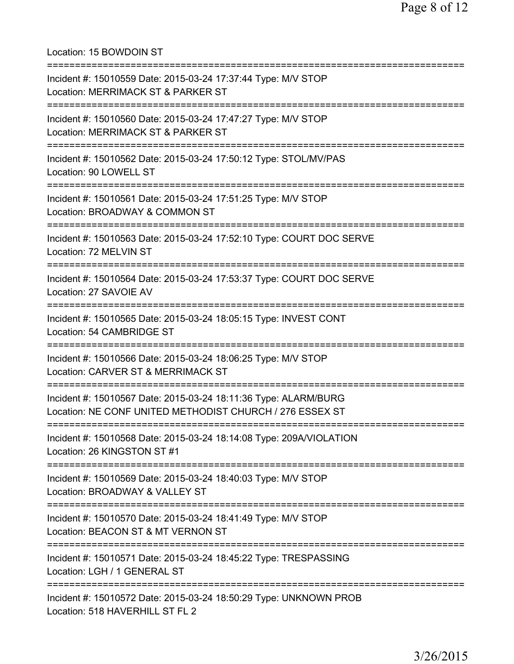Location: 15 BOWDOIN ST =========================================================================== Incident #: 15010559 Date: 2015-03-24 17:37:44 Type: M/V STOP Location: MERRIMACK ST & PARKER ST =========================================================================== Incident #: 15010560 Date: 2015-03-24 17:47:27 Type: M/V STOP Location: MERRIMACK ST & PARKER ST =========================================================================== Incident #: 15010562 Date: 2015-03-24 17:50:12 Type: STOL/MV/PAS Location: 90 LOWELL ST =========================================================================== Incident #: 15010561 Date: 2015-03-24 17:51:25 Type: M/V STOP Location: BROADWAY & COMMON ST =========================================================================== Incident #: 15010563 Date: 2015-03-24 17:52:10 Type: COURT DOC SERVE Location: 72 MELVIN ST =========================================================================== Incident #: 15010564 Date: 2015-03-24 17:53:37 Type: COURT DOC SERVE Location: 27 SAVOIE AV =========================================================================== Incident #: 15010565 Date: 2015-03-24 18:05:15 Type: INVEST CONT Location: 54 CAMBRIDGE ST =========================================================================== Incident #: 15010566 Date: 2015-03-24 18:06:25 Type: M/V STOP Location: CARVER ST & MERRIMACK ST =========================================================================== Incident #: 15010567 Date: 2015-03-24 18:11:36 Type: ALARM/BURG Location: NE CONF UNITED METHODIST CHURCH / 276 ESSEX ST =========================================================================== Incident #: 15010568 Date: 2015-03-24 18:14:08 Type: 209A/VIOLATION Location: 26 KINGSTON ST #1 =========================================================================== Incident #: 15010569 Date: 2015-03-24 18:40:03 Type: M/V STOP Location: BROADWAY & VALLEY ST =========================================================================== Incident #: 15010570 Date: 2015-03-24 18:41:49 Type: M/V STOP Location: BEACON ST & MT VERNON ST =========================================================================== Incident #: 15010571 Date: 2015-03-24 18:45:22 Type: TRESPASSING Location: LGH / 1 GENERAL ST =========================================================================== Incident #: 15010572 Date: 2015-03-24 18:50:29 Type: UNKNOWN PROB Location: 518 HAVERHILL ST FL 2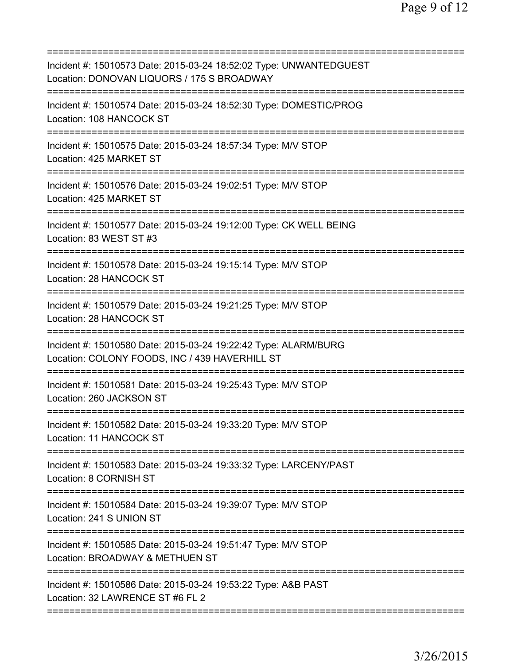| Incident #: 15010573 Date: 2015-03-24 18:52:02 Type: UNWANTEDGUEST<br>Location: DONOVAN LIQUORS / 175 S BROADWAY                                 |
|--------------------------------------------------------------------------------------------------------------------------------------------------|
| Incident #: 15010574 Date: 2015-03-24 18:52:30 Type: DOMESTIC/PROG<br>Location: 108 HANCOCK ST                                                   |
| Incident #: 15010575 Date: 2015-03-24 18:57:34 Type: M/V STOP<br>Location: 425 MARKET ST                                                         |
| Incident #: 15010576 Date: 2015-03-24 19:02:51 Type: M/V STOP<br>Location: 425 MARKET ST                                                         |
| Incident #: 15010577 Date: 2015-03-24 19:12:00 Type: CK WELL BEING<br>Location: 83 WEST ST #3                                                    |
| Incident #: 15010578 Date: 2015-03-24 19:15:14 Type: M/V STOP<br>Location: 28 HANCOCK ST                                                         |
| Incident #: 15010579 Date: 2015-03-24 19:21:25 Type: M/V STOP<br>Location: 28 HANCOCK ST<br>=====================                                |
| Incident #: 15010580 Date: 2015-03-24 19:22:42 Type: ALARM/BURG<br>Location: COLONY FOODS, INC / 439 HAVERHILL ST<br>=========================== |
| Incident #: 15010581 Date: 2015-03-24 19:25:43 Type: M/V STOP<br>Location: 260 JACKSON ST                                                        |
| Incident #: 15010582 Date: 2015-03-24 19:33:20 Type: M/V STOP<br>Location: 11 HANCOCK ST                                                         |
| Incident #: 15010583 Date: 2015-03-24 19:33:32 Type: LARCENY/PAST<br>Location: 8 CORNISH ST                                                      |
| Incident #: 15010584 Date: 2015-03-24 19:39:07 Type: M/V STOP<br>Location: 241 S UNION ST<br>==================                                  |
| Incident #: 15010585 Date: 2015-03-24 19:51:47 Type: M/V STOP<br>Location: BROADWAY & METHUEN ST                                                 |
| Incident #: 15010586 Date: 2015-03-24 19:53:22 Type: A&B PAST<br>Location: 32 LAWRENCE ST #6 FL 2                                                |
|                                                                                                                                                  |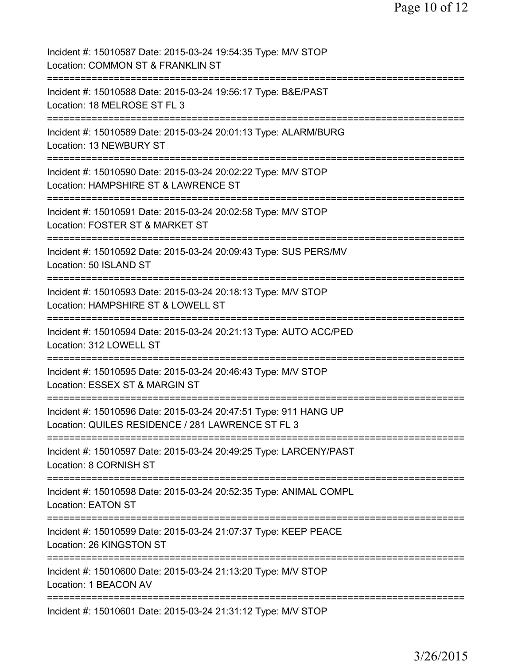| Incident #: 15010587 Date: 2015-03-24 19:54:35 Type: M/V STOP<br>Location: COMMON ST & FRANKLIN ST                    |
|-----------------------------------------------------------------------------------------------------------------------|
| Incident #: 15010588 Date: 2015-03-24 19:56:17 Type: B&E/PAST<br>Location: 18 MELROSE ST FL 3                         |
| Incident #: 15010589 Date: 2015-03-24 20:01:13 Type: ALARM/BURG<br>Location: 13 NEWBURY ST                            |
| Incident #: 15010590 Date: 2015-03-24 20:02:22 Type: M/V STOP<br>Location: HAMPSHIRE ST & LAWRENCE ST                 |
| Incident #: 15010591 Date: 2015-03-24 20:02:58 Type: M/V STOP<br>Location: FOSTER ST & MARKET ST                      |
| Incident #: 15010592 Date: 2015-03-24 20:09:43 Type: SUS PERS/MV<br>Location: 50 ISLAND ST                            |
| Incident #: 15010593 Date: 2015-03-24 20:18:13 Type: M/V STOP<br>Location: HAMPSHIRE ST & LOWELL ST                   |
| Incident #: 15010594 Date: 2015-03-24 20:21:13 Type: AUTO ACC/PED<br>Location: 312 LOWELL ST                          |
| Incident #: 15010595 Date: 2015-03-24 20:46:43 Type: M/V STOP<br>Location: ESSEX ST & MARGIN ST                       |
| Incident #: 15010596 Date: 2015-03-24 20:47:51 Type: 911 HANG UP<br>Location: QUILES RESIDENCE / 281 LAWRENCE ST FL 3 |
| Incident #: 15010597 Date: 2015-03-24 20:49:25 Type: LARCENY/PAST<br>Location: 8 CORNISH ST                           |
| Incident #: 15010598 Date: 2015-03-24 20:52:35 Type: ANIMAL COMPL<br><b>Location: EATON ST</b>                        |
| Incident #: 15010599 Date: 2015-03-24 21:07:37 Type: KEEP PEACE<br>Location: 26 KINGSTON ST                           |
| Incident #: 15010600 Date: 2015-03-24 21:13:20 Type: M/V STOP<br>Location: 1 BEACON AV                                |
| Incident #: 15010601 Date: 2015-03-24 21:31:12 Type: M/V STOP                                                         |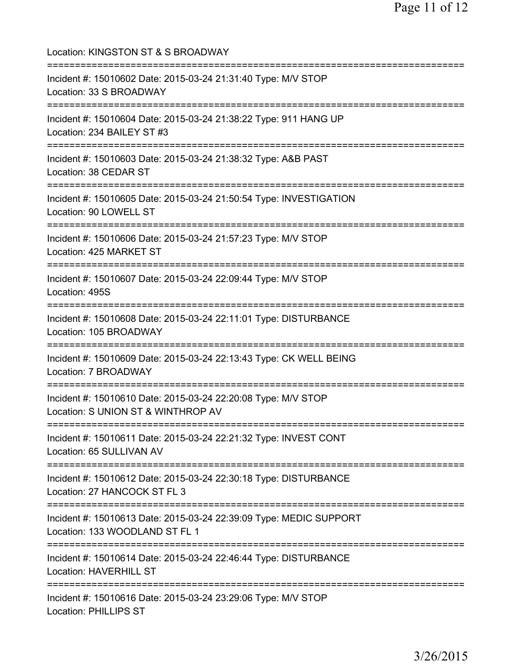Location: KINGSTON ST & S BROADWAY =========================================================================== Incident #: 15010602 Date: 2015-03-24 21:31:40 Type: M/V STOP Location: 33 S BROADWAY =========================================================================== Incident #: 15010604 Date: 2015-03-24 21:38:22 Type: 911 HANG UP Location: 234 BAILEY ST #3 =========================================================================== Incident #: 15010603 Date: 2015-03-24 21:38:32 Type: A&B PAST Location: 38 CEDAR ST =========================================================================== Incident #: 15010605 Date: 2015-03-24 21:50:54 Type: INVESTIGATION Location: 90 LOWELL ST =========================================================================== Incident #: 15010606 Date: 2015-03-24 21:57:23 Type: M/V STOP Location: 425 MARKET ST =========================================================================== Incident #: 15010607 Date: 2015-03-24 22:09:44 Type: M/V STOP Location: 495S =========================================================================== Incident #: 15010608 Date: 2015-03-24 22:11:01 Type: DISTURBANCE Location: 105 BROADWAY =========================================================================== Incident #: 15010609 Date: 2015-03-24 22:13:43 Type: CK WELL BEING Location: 7 BROADWAY =========================================================================== Incident #: 15010610 Date: 2015-03-24 22:20:08 Type: M/V STOP Location: S UNION ST & WINTHROP AV =========================================================================== Incident #: 15010611 Date: 2015-03-24 22:21:32 Type: INVEST CONT Location: 65 SULLIVAN AV =========================================================================== Incident #: 15010612 Date: 2015-03-24 22:30:18 Type: DISTURBANCE Location: 27 HANCOCK ST FL 3 =========================================================================== Incident #: 15010613 Date: 2015-03-24 22:39:09 Type: MEDIC SUPPORT Location: 133 WOODLAND ST FL 1 =========================================================================== Incident #: 15010614 Date: 2015-03-24 22:46:44 Type: DISTURBANCE Location: HAVERHILL ST =========================================================================== Incident #: 15010616 Date: 2015-03-24 23:29:06 Type: M/V STOP Location: PHILLIPS ST